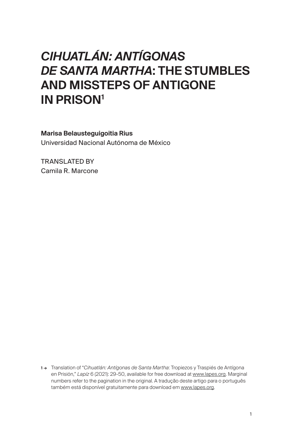# *CIHUATLÁN: ANTÍGONAS DE SANTA MARTHA*: THE STUMBLES AND MISSTEPS OF ANTIGONE IN PRISON<sup>1</sup>

Marisa Belausteguigoitia Rius

Universidad Nacional Autónoma de México

TRANSLATED BY Camila R. Marcone

1 → Translation of "*Cihuatlán: Antígonas de Santa Martha*: Tropiezos y Traspiés de Antígona en Prisión," *Lapíz* 6 (2021): 29-50, available for free download at [www.lapes.org](http://www.lapes.org). Marginal numbers refer to the pagination in the original. A tradução deste artigo para o português também está disponível gratuitamente para download em [www.lapes.org](http://www.lapes.org).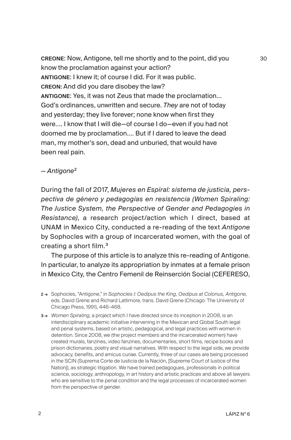CREONE: Now, Antigone, tell me shortly and to the point, did you know the proclamation against your action? ANTIGONE: I knew it; of course I did. For it was public. CREON: And did you dare disobey the law? ANTIGONE: Yes, it was not Zeus that made the proclamation… God's ordinances, unwritten and secure. *They* are not of today and yesterday; they live forever; none know when first they were…. I know that I will die—of course I do—even if you had not doomed me by proclamation…. But if I dared to leave the dead man, my mother's son, dead and unburied, that would have been real pain.

#### — *Antigone*<sup>2</sup>

During the fall of 2017, *Mujeres en Espiral: sistema de justicia, perspectiva de género y pedagogías en resistencia (Women Spiraling: The Justice System, the Perspective of Gender and Pedagogies in Resistance)*, a research project/action which I direct, based at UNAM in Mexico City, conducted a re-reading of the text *Antigone* by Sophocles with a group of incarcerated women, with the goal of creating a short film.<sup>3</sup>

The purpose of this article is to analyze this re-reading of Antigone. In particular, to analyze its appropriation by inmates at a female prison in Mexico City, the Centro Femenil de Reinserción Social (CEFERESO,

2 → Sophocles, "Antigone," in *Sophocles I: Oedipus the King, Oedipus at Colonus, Antigone*, eds. David Grene and Richard Lattimore, trans. David Grene (Chicago: The University of Chicago Press, 1991), 446-468.

3 → *Women Spiraling*, a project which I have directed since its inception in 2008, is an interdisciplinary academic initiative intervening in the Mexican and Global South legal and penal systems, based on artistic, pedagogical, and legal practices with women in detention. Since 2008, we (the project members and the incarcerated women) have created murals, fanzines, video fanzines, documentaries, short films, recipe books and prison dictionaries, poetry and visual narratives. With respect to the legal side, we provide advocacy, benefits, and amicus curiae. Currently, three of our cases are being processed in the SCJN (Suprema Corte de Justicia de la Nación, [Supreme Court of Justice of the Nation]), as strategic litigation. We have trained pedagogues, professionals in political science, sociology, anthropology, in art history and artistic practices and above all lawyers who are sensitive to the penal condition and the legal processes of incarcerated women from the perspective of gender*.*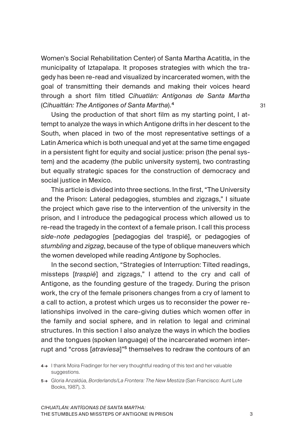Women's Social Rehabilitation Center) of Santa Martha Acatitla, in the municipality of Iztapalapa. It proposes strategies with which the tragedy has been re-read and visualized by incarcerated women, with the goal of transmitting their demands and making their voices heard through a short film titled *Cihuatlán: Antígonas de Santa Martha* (*Cihualtlán: The Antigones of Santa Martha*).<sup>4</sup>

Using the production of that short film as my starting point, I attempt to analyze the ways in which Antigone drifts in her descent to the South, when placed in two of the most representative settings of a Latin America which is both unequal and yet at the same time engaged in a persistent fight for equity and social justice: prison (the penal system) and the academy (the public university system), two contrasting but equally strategic spaces for the construction of democracy and social justice in Mexico.

This article is divided into three sections. In the first, "The University and the Prison: Lateral pedagogies, stumbles and zigzags," I situate the project which gave rise to the intervention of the university in the prison, and I introduce the pedagogical process which allowed us to re-read the tragedy in the context of a female prison. I call this process *side-note pedagogies* [pedagogias del traspié], or pedagogies of *stumbling* and *zigzag*, because of the type of oblique maneuvers which the women developed while reading *Antigone* by Sophocles.

In the second section, "Strategies of Interruption: Tilted readings, missteps [*traspié*] and zigzags," I attend to the cry and call of Antigone, as the founding gesture of the tragedy. During the prison work, the cry of the female prisoners changes from a cry of lament to a call to action, a protest which urges us to reconsider the power relationships involved in the care-giving duties which women offer in the family and social sphere, and in relation to legal and criminal structures. In this section I also analyze the ways in which the bodies and the tongues (spoken language) of the incarcerated women interrupt and "cross [*atraviesa*]"<sup>5</sup> themselves to redraw the contours of an

<sup>4 →</sup> I thank Moira Fradinger for her very thoughtful reading of this text and her valuable suggestions.

<sup>5 →</sup> Gloria Anzaldúa, *Borderlands/La Frontera: The New Mestiza* (San Francisco: Aunt Lute Books, 1987), 3.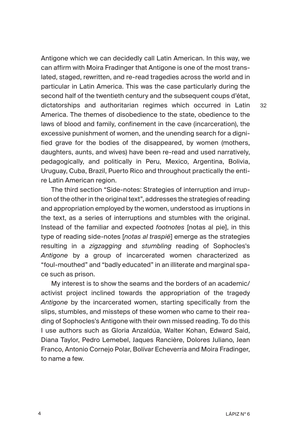Antigone which we can decidedly call Latin American. In this way, we can affirm with Moira Fradinger that Antigone is one of the most translated, staged, rewritten, and re-read tragedies across the world and in particular in Latin America. This was the case particularly during the second half of the twentieth century and the subsequent coups d'état, dictatorships and authoritarian regimes which occurred in Latin America. The themes of disobedience to the state, obedience to the laws of blood and family, confinement in the cave (incarceration), the excessive punishment of women, and the unending search for a dignified grave for the bodies of the disappeared, by women (mothers, daughters, aunts, and wives) have been re-read and used narratively, pedagogically, and politically in Peru, Mexico, Argentina, Bolivia, Uruguay, Cuba, Brazil, Puerto Rico and throughout practically the entire Latin American region.

The third section "Side-notes: Strategies of interruption and irruption of the other in the original text", addresses the strategies of reading and appropriation employed by the women, understood as irruptions in the text, as a series of interruptions and stumbles with the original. Instead of the familiar and expected *footnotes* [notas al pie], in this type of reading side-notes [*notas al traspié*] emerge as the strategies resulting in a *zigzagging* and *stumbling* reading of Sophocles's *Antigone* by a group of incarcerated women characterized as "foul-mouthed" and "badly educated" in an illiterate and marginal space such as prison.

My interest is to show the seams and the borders of an academic/ activist project inclined towards the appropriation of the tragedy *Antigone* by the incarcerated women, starting specifically from the slips, stumbles, and missteps of these women who came to their reading of Sophocles's Antigone with their own missed reading. To do this I use authors such as Gloria Anzaldúa, Walter Kohan, Edward Said, Diana Taylor, Pedro Lemebel, Jaques Rancière, Dolores Juliano, Jean Franco, Antonio Cornejo Polar, Bolívar Echeverría and Moira Fradinger, to name a few.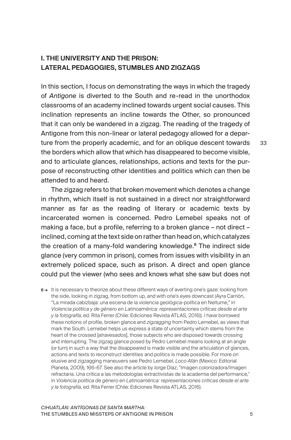## I. THE UNIVERSITY AND THE PRISON: LATERAL PEDAGOGIES, STUMBLES AND ZIGZAGS

In this section, I focus on demonstrating the ways in which the tragedy of *Antigone* is diverted to the South and re-read in the unorthodox classrooms of an academy inclined towards urgent social causes. This inclination represents an incline towards the Other, so pronounced that it can only be wandered in a zigzag. The reading of the tragedy of Antigone from this non-linear or lateral pedagogy allowed for a departure from the properly academic, and for an oblique descent towards the borders which allow that which has disappeared to become visible, and to articulate glances, relationships, actions and texts for the purpose of reconstructing other identities and politics which can then be attended to and heard.

The zigzag refers to that broken movement which denotes a change in rhythm, which itself is not sustained in a direct nor straightforward manner as far as the reading of literary or academic texts by incarcerated women is concerned. Pedro Lemebel speaks not of making a face, but a profile, referring to a broken glance – not direct – inclined, coming at the text side on rather than head on, which catalyzes the creation of a many-fold wandering knowledge.<sup>6</sup> The indirect side glance (very common in prison), comes from issues with visibility in an extremely policed space, such as prison. A direct and open glance could put the viewer (who sees and knows what she saw but does not

6 → It is necessary to theorize about these different ways of averting one's gaze: looking from the side, looking in zigzag, from bottom up, and with one's eyes downcast (Ayra Carrión, "La mirada cabizbaja: una escena de la violencia geológica-política en Neltume," in *Violencia política y de género en Latinoamérica: representaciones críticas desde el arte y la fotografía*, ed. Rita Ferrer (Chile: Ediciones Revista ATLAS, 2016)). I have borrowed these notions of profile, broken glance and *zigzagging* from Pedro Lemebel, as views that mark the South. Lemebel helps us express a state of uncertainty which stems from the heart of the crossed [*atravesados*], those subjects who are disposed towards crossing and interrupting. The zigzag glance posed by Pedro Lemebel means looking at an angle (or turn) in such a way that the disappeared is made visible and the articulation of glances, actions and texts to reconstruct identities and politics is made possible. For more on elusive and zigzagging maneuvers see Pedro Lemebel, *Loco Afán* (Mexico: Editorial Planeta, 2009), 166-67. See also the article by Jorge Díaz, "Imagen colonizadora/Imagen refractaria. Una crítica a las metodologías extractivistas de la academia del performance," in *Violencia política de género en Latinoamérica: representaciones críticas desde el arte y la fotografía*, ed. Rita Ferrer (Chile: Ediciones Revista ATLAS, 2016).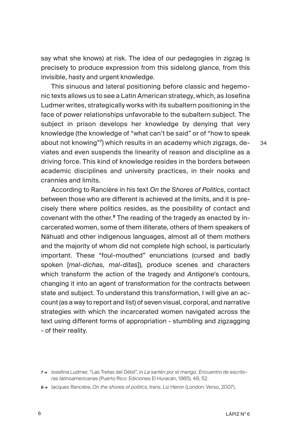say what she knows) at risk. The idea of our pedagogies in zigzag is precisely to produce expression from this sidelong glance, from this invisible, hasty and urgent knowledge.

This sinuous and lateral positioning before classic and hegemonic texts allows us to see a Latin American strategy, which, as Josefina Ludmer writes, strategically works with its subaltern positioning in the face of power relationships unfavorable to the subaltern subject. The subject in prison develops her knowledge by denying that very knowledge (the knowledge of "what can't be said" or of "how to speak about not knowing"<sup>7</sup> ) which results in an academy which zigzags, deviates and even suspends the linearity of reason and discipline as a driving force. This kind of knowledge resides in the borders between academic disciplines and university practices, in their nooks and crannies and limits.

According to Rancière in his text *On the Shores of Politics*, contact between those who are different is achieved at the limits, and it is precisely there where politics resides, as the possibility of contact and covenant with the other.8 The reading of the tragedy as enacted by incarcerated women, some of them illiterate, others of them speakers of Náhuatl and other indigenous languages, almost all of them mothers and the majority of whom did not complete high school, is particularly important. These "foul-mouthed" enunciations (cursed and badly spoken [*mal-dichas, mal-ditas*]), produce scenes and characters which transform the action of the tragedy and *Antigone*'s contours, changing it into an agent of transformation for the contracts between state and subject. To understand this transformation, I will give an account (as a way to report and list) of seven visual, corporal, and narrative strategies with which the incarcerated women navigated across the text using different forms of appropriation - stumbling and zigzagging - of their reality.

<sup>7 →</sup> Josefina Ludmer, "Las Tretas del Débil", in *La sartén por el mango. Encuentro de escritoras latinoamericana*s (Puerto Rico: Ediciones El Huracán, 1985), 48, 52.

<sup>8 →</sup> Jacques Rancière, *On the shores of politics*, trans. Liz Heron (London: Verso, 2007).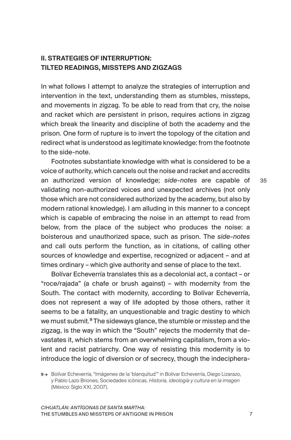## II. STRATEGIES OF INTERRUPTION: TILTED READINGS, MISSTEPS AND ZIGZAGS

In what follows I attempt to analyze the strategies of interruption and intervention in the text, understanding them as stumbles, missteps, and movements in zigzag. To be able to read from that cry, the noise and racket which are persistent in prison, requires actions in zigzag which break the linearity and discipline of both the academy and the prison. One form of rupture is to invert the topology of the citation and redirect what is understood as legitimate knowledge: from the footnote to the side-note.

Footnotes substantiate knowledge with what is considered to be a voice of authority, which cancels out the noise and racket and accredits an authorized version of knowledge; *side-notes* are capable of validating non-authorized voices and unexpected archives (not only those which are not considered authorized by the academy, but also by modern rational knowledge). I am alluding in this manner to a concept which is capable of embracing the noise in an attempt to read from below, from the place of the subject who produces the noise: a boisterous and unauthorized space, such as prison. The *side-notes* and call outs perform the function, as in citations, of calling other sources of knowledge and expertise, recognized or adjacent – and at times ordinary – which give authority and sense of place to the text.

Bolívar Echeverría translates this as a decolonial act, a contact – or "roce/rajada" (a chafe or brush against) – with modernity from the South. The contact with modernity, according to Bolívar Echeverría, does not represent a way of life adopted by those others, rather it seems to be a fatality, an unquestionable and tragic destiny to which we must submit.<sup>9</sup> The sideways glance, the stumble or misstep and the zigzag, is the way in which the "South" rejects the modernity that devastates it, which stems from an overwhelming capitalism, from a violent and racist patriarchy. One way of resisting this modernity is to introduce the logic of diversion or of secrecy, though the indeciphera-

<sup>9 →</sup> Bolívar Echeverría, "Imágenes de la 'blanquitud'" in Bolívar Echeverría, Diego Lizarazo, y Pablo Lazo Briones, Sociedades icónicas. *Historia, ideología y cultura en la imagen*  (México: Siglo XXI, 2007).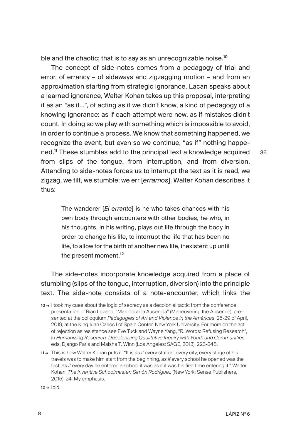ble and the chaotic; that is to say as an unrecognizable noise.<sup>10</sup>

The concept of side-notes comes from a pedagogy of trial and error, of errancy – of sideways and zigzagging motion – and from an approximation starting from strategic ignorance. Lacan speaks about a learned ignorance, Walter Kohan takes up this proposal, interpreting it as an "as if...", of acting as if we didn't know, a kind of pedagogy of a knowing ignorance: as if each attempt were new, as if mistakes didn't count. In doing so we play with something which is impossible to avoid, in order to continue a process. We know that something happened, we recognize the event, but even so we continue, "as if" nothing happened.<sup>11</sup> These stumbles add to the principal text a knowledge acquired from slips of the tongue, from interruption, and from diversion. Attending to side-notes forces us to interrupt the text as it is read, we zigzag, we tilt, we stumble: we err [*erramos*]. Walter Kohan describes it thus:

The wanderer [*El errante*] is he who takes chances with his own body through encounters with other bodies, he who, in his thoughts, in his writing, plays out life through the body in order to change his life, to interrupt the life that has been no life, to allow for the birth of another new life, inexistent up until the present moment.<sup>12</sup>

The side-notes incorporate knowledge acquired from a place of stumbling (slips of the tongue, interruption, diversion) into the principle text. The side-note consists of a note-encounter, which links the

- 10 → I took my cues about the logic of secrecy as a decolonial tactic from the conference presentation of Rian Lozano, "Maniobrar la Ausencia" (Maneuvering the Absence), presented at the colloquium *Pedagogies of Art and Violence in the Américas*, 26-29 of April, 2019, at the King Juan Carlos I of Spain Center, New York University. For more on the act of rejection as resistance see Eve Tuck and Wayne Yang, "R. Words: Refusing Research", in *Humanizing Research: Decolonizing Qualitative Inquiry with Youth and Communities*, eds. Django Paris and Maisha T. Winn (Los Angeles: SAGE, 2013), 223-248.
- 11 → This is how Walter Kohan puts it: "It is *as if* every station, every city, every stage of his travels was to make him start from the beginning, *as if* every school he opened was the first, *as if* every day he entered a school it was as if it was his first time entering it." Walter Kohan, *The Inventive Schoolmaster: Simón Rodríguez* (New York: Sense Publishers, 2015), 24. My emphasis.

 $12 \rightarrow$  Ibid.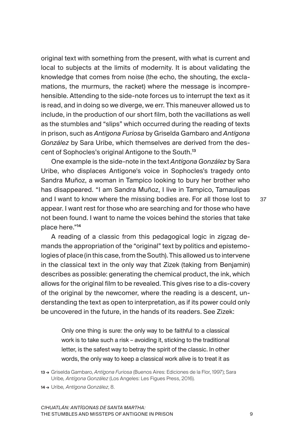original text with something from the present, with what is current and local to subjects at the limits of modernity. It is about validating the knowledge that comes from noise (the echo, the shouting, the exclamations, the murmurs, the racket) where the message is incomprehensible. Attending to the side-note forces us to interrupt the text as it is read, and in doing so we diverge, we err. This maneuver allowed us to include, in the production of our short film, both the vacillations as well as the stumbles and "slips" which occurred during the reading of texts in prison, such as *Antígona Furiosa* by Griselda Gambaro and *Antígona González* by Sara Uribe, which themselves are derived from the descent of Sophocles's original Antigone to the South.<sup>13</sup>

One example is the side-note in the text *Antígona González* by Sara Uribe, who displaces Antigone's voice in Sophocles's tragedy onto Sandra Muñoz, a woman in Tampico looking to bury her brother who has disappeared. "I am Sandra Muñoz, I live in Tampico, Tamaulipas and I want to know where the missing bodies are. For all those lost to appear. I want rest for those who are searching and for those who have not been found. I want to name the voices behind the stories that take place here."<sup>14</sup>

37

A reading of a classic from this pedagogical logic in zigzag demands the appropriation of the "original" text by politics and epistemologies of place (in this case, from the South). This allowed us to intervene in the classical text in the only way that Zizek (taking from Benjamin) describes as possible: generating the chemical product, the ink, which allows for the original film to be revealed. This gives rise to a dis-covery of the original by the newcomer, where the reading is a descent, understanding the text as open to interpretation, as if its power could only be uncovered in the future, in the hands of its readers. See Zizek:

Only one thing is sure: the only way to be faithful to a classical work is to take such a risk – avoiding it, sticking to the traditional letter, is the safest way to betray the spirit of the classic. In other words, the only way to keep a classical work alive is to treat it as

- 13 → Griselda Gambaro, *Antígona Furiosa* (Buenos Aires: Ediciones de la Flor, 1997); Sara Uribe*, Antígona González* (Los Angeles: Les Figues Press, 2016).
- 14 → Uribe*, Antígona González*, 8.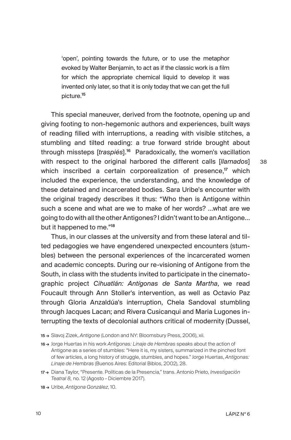'open', pointing towards the future, or to use the metaphor evoked by Walter Benjamin, to act as if the classic work is a film for which the appropriate chemical liquid to develop it was invented only later, so that it is only today that we can get the full picture.<sup>15</sup>

This special maneuver, derived from the footnote, opening up and giving footing to non-hegemonic authors and experiences, built ways of reading filled with interruptions, a reading with visible stitches, a stumbling and tilted reading: a true forward stride brought about through missteps [*traspiés*].<sup>16</sup> Paradoxically, the women's vacillation with respect to the original harbored the different calls [*llamados*] which inscribed a certain corporealization of presence,<sup>17</sup> which included the experience, the understanding, and the knowledge of these detained and incarcerated bodies. Sara Uribe's encounter with the original tragedy describes it thus: "Who then is Antigone within such a scene and what are we to make of her words? …what are we going to do with all the other Antigones? I didn't want to be an Antigone… but it happened to me."<sup>18</sup>

Thus, in our classes at the university and from these lateral and tilted pedagogies we have engendered unexpected encounters (stumbles) between the personal experiences of the incarcerated women and academic concepts. During our re-visioning of Antigone from the South, in class with the students invited to participate in the cinematographic project *Cihuatlán: Antígonas de Santa Martha*, we read Foucault through Ann Stoller's intervention, as well as Octavio Paz through Gloria Anzaldúa's interruption, Chela Sandoval stumbling through Jacques Lacan; and Rivera Cusicanqui and Maria Lugones interrupting the texts of decolonial authors critical of modernity (Dussel,

<sup>15 →</sup> Slavoj Zizek, *Antigone* (London and NY: Bloomsbury Press, 2006), xii.

<sup>16 →</sup> Jorge Huertas in his work *Antígonas: Linaje de Hembras* speaks about the action of Antigone as a series of stumbles: "Here it is, my sisters, summarized in the pinched font of few articles, a long history of struggle, stumbles, and hopes." Jorge Huertas, *Antígonas: Linaje de Hembras* (Buenos Aires: Editorial Biblos, 2002), 28.

<sup>17 →</sup> Diana Taylor, "Presente. Políticas de la Presencia," trans. Antonio Prieto, *Investigación Teatral 8,* no. 12 (Agosto - Diciembre 2017).

<sup>18 →</sup> Uribe, *Antígona González*, 10.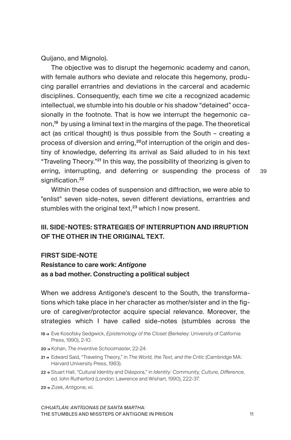Quijano, and Mignolo).

The objective was to disrupt the hegemonic academy and canon, with female authors who deviate and relocate this hegemony, producing parallel errantries and deviations in the carceral and academic disciplines. Consequently, each time we cite a recognized academic intellectual, we stumble into his double or his shadow "detained" occasionally in the footnote. That is how we interrupt the hegemonic canon,<sup>19</sup> by using a liminal text in the margins of the page. The theoretical act (as critical thought) is thus possible from the South – creating a process of diversion and erring,<sup>20</sup> of interruption of the origin and destiny of knowledge, deferring its arrival as Said alluded to in his text "Traveling Theory."<sup>21</sup> In this way, the possibility of theorizing is given to erring, interrupting, and deferring or suspending the process of signification.<sup>22</sup>

39

Within these codes of suspension and diffraction, we were able to "enlist" seven side-notes, seven different deviations, errantries and stumbles with the original text, $23$  which I now present.

## III. SIDE-NOTES: STRATEGIES OF INTERRUPTION AND IRRUPTION OF THE OTHER IN THE ORIGINAL TEXT.

#### FIRST SIDE-NOTE

Resistance to care work: *Antigone* as a bad mother. Constructing a political subject

When we address Antigone's descent to the South, the transformations which take place in her character as mother/sister and in the figure of caregiver/protector acquire special relevance. Moreover, the strategies which I have called side-notes (stumbles across the

- 19 → Eve Kosofsky Sedgwick, *Epistemology of the Closet* (Berkeley: University of California Press, 1990), 2-10.
- 20 → Kohan, *The Inventive Schoolmaster*, 22-24.
- 21 → Edward Said, "Traveling Theory," in *The World, the Text, and the Critic* (Cambridge MA: Harvard University Press, 1983).
- 22 → Stuart Hall, "Cultural Identity and Diáspora," in *Identity: Community, Culture, Difference*, ed. John Rutherford (London: Lawrence and Wishart, 1990), 222-37.
- 23 → Zizek, *Antigone*, xii.

*CIHUATLÁN: ANTÍGONAS DE SANTA MARTHA:*  THE STUMBLES AND MISSTEPS OF ANTIGONE IN PRISON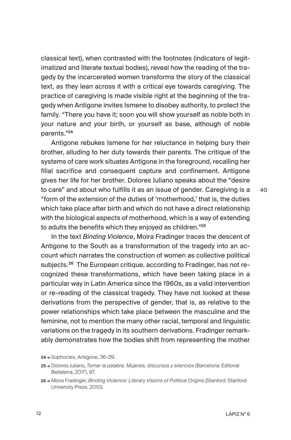classical text), when contrasted with the footnotes (indicators of legitimatized and literate textual bodies), reveal how the reading of the tragedy by the incarcerated women transforms the story of the classical text, as they lean across it with a critical eye towards caregiving. The practice of caregiving is made visible right at the beginning of the tragedy when Antigone invites Ismene to disobey authority, to protect the family. "There you have it; soon you will show yourself as noble both in your nature and your birth, or yourself as base, although of noble parents."<sup>24</sup>

Antigone rebukes Ismene for her reluctance in helping bury their brother, alluding to her duty towards their parents. The critique of the systems of care work situates Antigone in the foreground, recalling her filial sacrifice and consequent capture and confinement. Antigone gives her life for her brother. Dolores Juliano speaks about the "desire to care" and about who fulfills it as an issue of gender. Caregiving is a "form of the extension of the duties of 'motherhood,' that is, the duties which take place after birth and which do not have a direct relationship with the biological aspects of motherhood, which is a way of extending to adults the benefits which they enjoyed as children."<sup>25</sup>

In the text *Binding Violence*, Moira Fradinger traces the descent of Antigone to the South as a transformation of the tragedy into an account which narrates the construction of women as collective political subjects.<sup>26</sup> The European critique, according to Fradinger, has not recognized these transformations, which have been taking place in a particular way in Latin America since the 1960s, as a valid intervention or re-reading of the classical tragedy. They have not looked at these derivations from the perspective of gender, that is, as relative to the power relationships which take place between the masculine and the feminine, not to mention the many other racial, temporal and linguistic variations on the tragedy in its southern derivations. Fradinger remarkably demonstrates how the bodies shift from representing the mother

<sup>24 →</sup> Sophocles, Antigone, 36-39.

<sup>25 →</sup> Dolores Juliano, *Tomar la palabra. Mujeres, discursos y silencios* (Barcelona: Editorial Bellaterra, 2017), 97.

<sup>26 →</sup> Moira Fradinger, *Binding Violence: Literary Visions of Political Origins* (Stanford: Stanford University Press, 2010).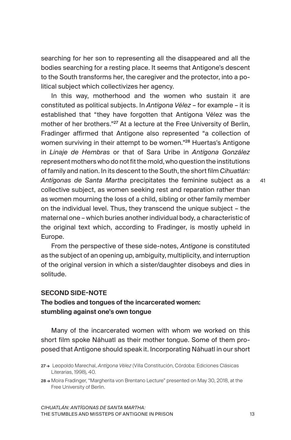searching for her son to representing all the disappeared and all the bodies searching for a resting place. It seems that Antigone's descent to the South transforms her, the caregiver and the protector, into a political subject which collectivizes her agency.

In this way, motherhood and the women who sustain it are constituted as political subjects. In *Antígona Vélez* – for example – it is established that "they have forgotten that Antígona Vélez was the mother of her brothers."<sup>27</sup> At a lecture at the Free University of Berlin, Fradinger affirmed that Antigone also represented "a collection of women surviving in their attempt to be women."<sup>28</sup> Huertas's Antigone in *Linaje de Hembras* or that of Sara Uribe in *Antígona González* represent mothers who do not fit the mold, who question the institutions of family and nation. In its descent to the South, the short film *Cihuatlán: Antígonas de Santa Martha* precipitates the feminine subject as a collective subject, as women seeking rest and reparation rather than as women mourning the loss of a child, sibling or other family member on the individual level. Thus, they transcend the unique subject – the maternal one – which buries another individual body, a characteristic of the original text which, according to Fradinger, is mostly upheld in Europe.

From the perspective of these side-notes, *Antigone* is constituted as the subject of an opening up, ambiguity, multiplicity, and interruption of the original version in which a sister/daughter disobeys and dies in solitude.

#### SECOND SIDE-NOTE

### The bodies and tongues of the incarcerated women: stumbling against one's own tongue

Many of the incarcerated women with whom we worked on this short film spoke Náhuatl as their mother tongue. Some of them proposed that Antigone should speak it. Incorporating Náhuatl in our short

*CIHUATLÁN: ANTÍGONAS DE SANTA MARTHA:*  THE STUMBLES AND MISSTEPS OF ANTIGONE IN PRISON

<sup>27 →</sup> Leopoldo Marechal, *Antígona Vélez* (Villa Constitución, Córdoba: Ediciones Clásicas Literarias, 1998), 40.

<sup>28 →</sup> Moira Fradinger, "Margherita von Brentano Lecture" presented on May 30, 2018, at the Free University of Berlin.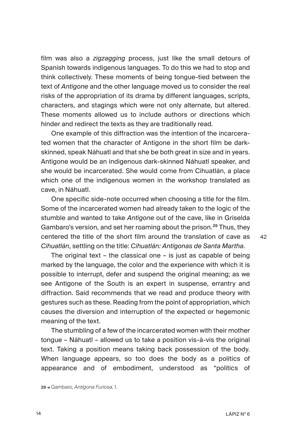film was also a *zigzagging* process, just like the small detours of Spanish towards indigenous languages. To do this we had to stop and think collectively. These moments of being tongue-tied between the text of *Antigone* and the other language moved us to consider the real risks of the appropriation of its drama by different languages, scripts, characters, and stagings which were not only alternate, but altered. These moments allowed us to include authors or directions which hinder and redirect the texts as they are traditionally read.

One example of this diffraction was the intention of the incarcerated women that the character of Antigone in the short film be darkskinned, speak Náhuatl and that she be both great in size and in years. Antigone would be an indigenous dark-skinned Náhuatl speaker, and she would be incarcerated. She would come from Cihuatlán, a place which one of the indigenous women in the workshop translated as cave, in Náhuatl.

One specific side-note occurred when choosing a title for the film. Some of the incarcerated women had already taken to the logic of the stumble and wanted to take *Antigone* out of the cave, like in Griselda Gambaro's version, and set her roaming about the prison.<sup>29</sup> Thus, they centered the title of the short film around the translation of cave as *Cihuatlán*, settling on the title: *Cihuatlán: Antígonas de Santa Martha*.

The original text – the classical one – is just as capable of being marked by the language, the color and the experience with which it is possible to interrupt, defer and suspend the original meaning; as we see Antigone of the South is an expert in suspense, errantry and diffraction. Said recommends that we read and produce theory with gestures such as these. Reading from the point of appropriation, which causes the diversion and interruption of the expected or hegemonic meaning of the text.

The stumbling of a few of the incarcerated women with their mother tongue – Náhuatl – allowed us to take a position vis-à-vis the original text. Taking a position means taking back possession of the body. When language appears, so too does the body as a politics of appearance and of embodiment, understood as "politics of

29 → Gambaro, *Antígona Furiosa*, 1.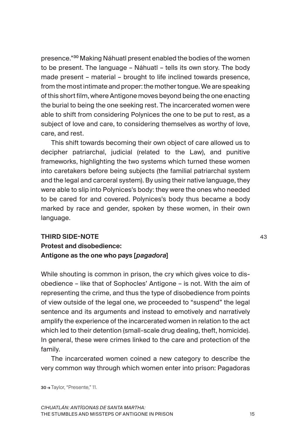presence."<sup>30</sup> Making Náhuatl present enabled the bodies of the women to be present. The language – Náhuatl – tells its own story. The body made present – material – brought to life inclined towards presence, from the most intimate and proper: the mother tongue. We are speaking of this short film, where Antigone moves beyond being the one enacting the burial to being the one seeking rest. The incarcerated women were able to shift from considering Polynices the one to be put to rest, as a subject of love and care, to considering themselves as worthy of love, care, and rest.

This shift towards becoming their own object of care allowed us to decipher patriarchal, judicial (related to the Law), and punitive frameworks, highlighting the two systems which turned these women into caretakers before being subjects (the familial patriarchal system and the legal and carceral system). By using their native language, they were able to slip into Polynices's body: they were the ones who needed to be cared for and covered. Polynices's body thus became a body marked by race and gender, spoken by these women, in their own language.

# THIRD SIDE-NOTE Protest and disobedience: Antigone as the one who pays [*pagadora*]

While shouting is common in prison, the cry which gives voice to disobedience – like that of Sophocles' Antigone – is not. With the aim of representing the crime, and thus the type of disobedience from points of view outside of the legal one, we proceeded to "suspend" the legal sentence and its arguments and instead to emotively and narratively amplify the experience of the incarcerated women in relation to the act which led to their detention (small-scale drug dealing, theft, homicide). In general, these were crimes linked to the care and protection of the family.

The incarcerated women coined a new category to describe the very common way through which women enter into prison: Pagadoras

30 → Taylor, "Presente," 11.

*CIHUATLÁN: ANTÍGONAS DE SANTA MARTHA:*  THE STUMBLES AND MISSTEPS OF ANTIGONE IN PRISON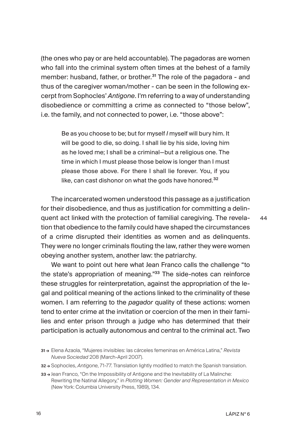(the ones who pay or are held accountable). The pagadoras are women who fall into the criminal system often times at the behest of a family member: husband, father, or brother.<sup>31</sup> The role of the pagadora - and thus of the caregiver woman/mother - can be seen in the following excerpt from Sophocles' *Antigone*. I'm referring to a way of understanding disobedience or committing a crime as connected to "those below", i.e. the family, and not connected to power, i.e. "those above":

Be as you choose to be; but for myself *I* myself will bury him. It will be good to die, so doing. I shall lie by his side, loving him as he loved me; I shall be a criminal—but a religious one. The time in which I must please those below is longer than I must please those above. For there I shall lie forever. You, if you like, can cast dishonor on what the gods have honored.<sup>32</sup>

The incarcerated women understood this passage as a justification for their disobedience, and thus as justification for committing a delinquent act linked with the protection of familial caregiving. The revelation that obedience to the family could have shaped the circumstances of a crime disrupted their identities as women and as delinquents. They were no longer criminals flouting the law, rather they were women obeying another system, another law: the patriarchy.

We want to point out here what Jean Franco calls the challenge "to the state's appropriation of meaning."33 The side-notes can reinforce these struggles for reinterpretation, against the appropriation of the legal and political meaning of the actions linked to the criminality of these women. I am referring to the *pagador* quality of these actions: women tend to enter crime at the invitation or coercion of the men in their families and enter prison through a judge who has determined that their participation is actually autonomous and central to the criminal act. Two

<sup>31 →</sup> Elena Azaola, "Mujeres invisibles: las cárceles femeninas en América Latina," *Revista Nueva Sociedad* 208 (March-April 2007).

<sup>32 →</sup> Sophocles, *Antigone*, 71-77. Translation lightly modified to match the Spanish translation.

<sup>33 →</sup> Jean Franco, "On the Impossibility of Antigone and the Inevitability of La Malinche: Rewriting the Natinal Allegory," in *Plotting Women: Gender and Representation in Mexico* (New York: Columbia University Press, 1989), 134.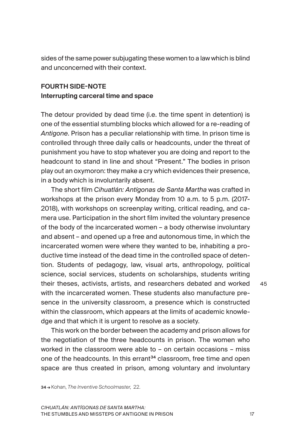sides of the same power subjugating these women to a law which is blind and unconcerned with their context.

# FOURTH SIDE-NOTE Interrupting carceral time and space

The detour provided by dead time (i.e. the time spent in detention) is one of the essential stumbling blocks which allowed for a re-reading of *Antigone*. Prison has a peculiar relationship with time. In prison time is controlled through three daily calls or headcounts, under the threat of punishment you have to stop whatever you are doing and report to the headcount to stand in line and shout "Present." The bodies in prison play out an oxymoron: they make a cry which evidences their presence, in a body which is involuntarily absent.

The short film *Cihuatlán: Antígonas de Santa Martha* was crafted in workshops at the prison every Monday from 10 a.m. to 5 p.m. (2017- 2018), with workshops on screenplay writing, critical reading, and camera use. Participation in the short film invited the voluntary presence of the body of the incarcerated women – a body otherwise involuntary and absent – and opened up a free and autonomous time, in which the incarcerated women were where they wanted to be, inhabiting a productive time instead of the dead time in the controlled space of detention. Students of pedagogy, law, visual arts, anthropology, political science, social services, students on scholarships, students writing their theses, activists, artists, and researchers debated and worked with the incarcerated women. These students also manufacture presence in the university classroom, a presence which is constructed within the classroom, which appears at the limits of academic knowledge and that which it is urgent to resolve as a society.

This work on the border between the academy and prison allows for the negotiation of the three headcounts in prison. The women who worked in the classroom were able to – on certain occasions – miss one of the headcounts. In this errant<sup>34</sup> classroom, free time and open space are thus created in prison, among voluntary and involuntary

34 → Kohan, *The Inventive Schoolmaster*, 22.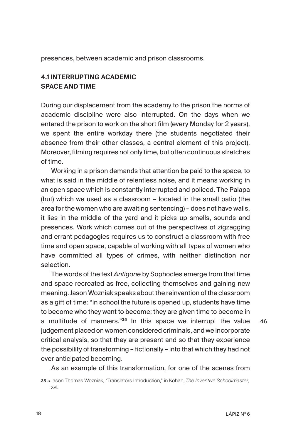presences, between academic and prison classrooms.

## 4.1 INTERRUPTING ACADEMIC SPACE AND TIME

During our displacement from the academy to the prison the norms of academic discipline were also interrupted. On the days when we entered the prison to work on the short film (every Monday for 2 years), we spent the entire workday there (the students negotiated their absence from their other classes, a central element of this project). Moreover, filming requires not only time, but often continuous stretches of time.

Working in a prison demands that attention be paid to the space, to what is said in the middle of relentless noise, and it means working in an open space which is constantly interrupted and policed. The Palapa (hut) which we used as a classroom – located in the small patio (the area for the women who are awaiting sentencing) – does not have walls, it lies in the middle of the yard and it picks up smells, sounds and presences. Work which comes out of the perspectives of zigzagging and errant pedagogies requires us to construct a classroom with free time and open space, capable of working with all types of women who have committed all types of crimes, with neither distinction nor selection.

The words of the text *Antigone* by Sophocles emerge from that time and space recreated as free, collecting themselves and gaining new meaning. Jason Wozniak speaks about the reinvention of the classroom as a gift of time: "in school the future is opened up, students have time to become who they want to become; they are given time to become in a multitude of manners."<sup>35</sup> In this space we interrupt the value judgement placed on women considered criminals, and we incorporate critical analysis, so that they are present and so that they experience the possibility of transforming – fictionally – into that which they had not ever anticipated becoming.

As an example of this transformation, for one of the scenes from

<sup>35 →</sup> Jason Thomas Wozniak, "Translators Introduction," in Kohan, *The Inventive Schoolmaster*, xvi.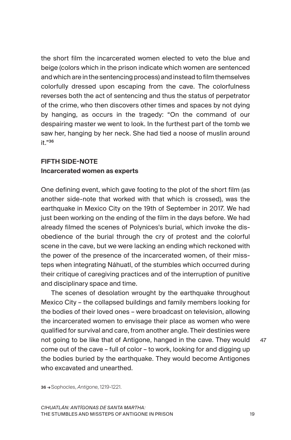the short film the incarcerated women elected to veto the blue and beige (colors which in the prison indicate which women are sentenced and which are in the sentencing process) and instead to film themselves colorfully dressed upon escaping from the cave. The colorfulness reverses both the act of sentencing and thus the status of perpetrator of the crime, who then discovers other times and spaces by not dying by hanging, as occurs in the tragedy: "On the command of our despairing master we went to look. In the furthest part of the tomb we saw her, hanging by her neck. She had tied a noose of muslin around it."36

# FIFTH SIDE-NOTE Incarcerated women as experts

One defining event, which gave footing to the plot of the short film (as another side-note that worked with that which is crossed), was the earthquake in Mexico City on the 19th of September in 2017. We had just been working on the ending of the film in the days before. We had already filmed the scenes of Polynices's burial, which invoke the disobedience of the burial through the cry of protest and the colorful scene in the cave, but we were lacking an ending which reckoned with the power of the presence of the incarcerated women, of their missteps when integrating Náhuatl, of the stumbles which occurred during their critique of caregiving practices and of the interruption of punitive and disciplinary space and time.

The scenes of desolation wrought by the earthquake throughout Mexico City – the collapsed buildings and family members looking for the bodies of their loved ones – were broadcast on television, allowing the incarcerated women to envisage their place as women who were qualified for survival and care, from another angle. Their destinies were not going to be like that of Antigone, hanged in the cave. They would come out of the cave – full of color – to work, looking for and digging up the bodies buried by the earthquake. They would become Antigones who excavated and unearthed.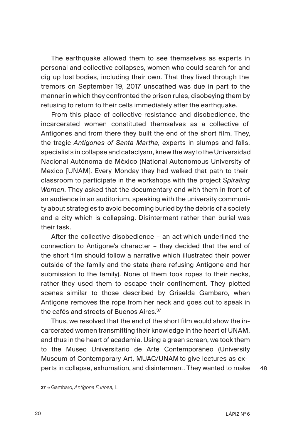The earthquake allowed them to see themselves as experts in personal and collective collapses, women who could search for and dig up lost bodies, including their own. That they lived through the tremors on September 19, 2017 unscathed was due in part to the manner in which they confronted the prison rules, disobeying them by refusing to return to their cells immediately after the earthquake.

From this place of collective resistance and disobedience, the incarcerated women constituted themselves as a collective of Antigones and from there they built the end of the short film. They, the tragic *Antigones of Santa Martha*, experts in slumps and falls, specialists in collapse and cataclysm, knew the way to the Universidad Nacional Autónoma de México (National Autonomous University of Mexico [UNAM]. Every Monday they had walked that path to their classroom to participate in the workshops with the project *Spiraling Women*. They asked that the documentary end with them in front of an audience in an auditorium, speaking with the university community about strategies to avoid becoming buried by the debris of a society and a city which is collapsing. Disinterment rather than burial was their task.

After the collective disobedience – an act which underlined the connection to Antigone's character – they decided that the end of the short film should follow a narrative which illustrated their power outside of the family and the state (here refusing Antigone and her submission to the family). None of them took ropes to their necks, rather they used them to escape their confinement. They plotted scenes similar to those described by Griselda Gambaro, when Antigone removes the rope from her neck and goes out to speak in the cafés and streets of Buenos Aires.<sup>37</sup>

Thus, we resolved that the end of the short film would show the incarcerated women transmitting their knowledge in the heart of UNAM, and thus in the heart of academia. Using a green screen, we took them to the Museo Universitario de Arte Contemporáneo (University Museum of Contemporary Art, MUAC/UNAM to give lectures as experts in collapse, exhumation, and disinterment. They wanted to make

48

37 → Gambaro, *Antígona Furiosa,* 1.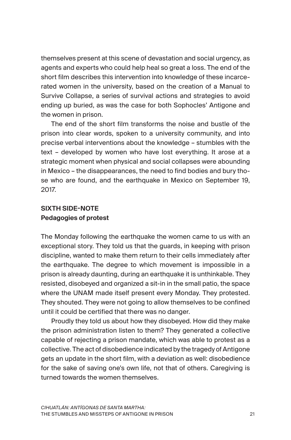themselves present at this scene of devastation and social urgency, as agents and experts who could help heal so great a loss. The end of the short film describes this intervention into knowledge of these incarcerated women in the university, based on the creation of a Manual to Survive Collapse, a series of survival actions and strategies to avoid ending up buried, as was the case for both Sophocles' Antigone and the women in prison.

The end of the short film transforms the noise and bustle of the prison into clear words, spoken to a university community, and into precise verbal interventions about the knowledge – stumbles with the text – developed by women who have lost everything. It arose at a strategic moment when physical and social collapses were abounding in Mexico – the disappearances, the need to find bodies and bury those who are found, and the earthquake in Mexico on September 19, 2017.

# SIXTH SIDE-NOTE Pedagogies of protest

The Monday following the earthquake the women came to us with an exceptional story. They told us that the guards, in keeping with prison discipline, wanted to make them return to their cells immediately after the earthquake. The degree to which movement is impossible in a prison is already daunting, during an earthquake it is unthinkable. They resisted, disobeyed and organized a sit-in in the small patio, the space where the UNAM made itself present every Monday. They protested. They shouted. They were not going to allow themselves to be confined until it could be certified that there was no danger.

Proudly they told us about how they disobeyed. How did they make the prison administration listen to them? They generated a collective capable of rejecting a prison mandate, which was able to protest as a collective. The act of disobedience indicated by the tragedy of Antigone gets an update in the short film, with a deviation as well: disobedience for the sake of saving one's own life, not that of others. Caregiving is turned towards the women themselves.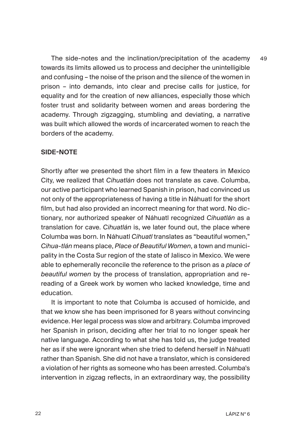The side-notes and the inclination/precipitation of the academy towards its limits allowed us to process and decipher the unintelligible and confusing – the noise of the prison and the silence of the women in prison – into demands, into clear and precise calls for justice, for equality and for the creation of new alliances, especially those which foster trust and solidarity between women and areas bordering the academy. Through zigzagging, stumbling and deviating, a narrative was built which allowed the words of incarcerated women to reach the borders of the academy. 49

#### SIDE-NOTE

Shortly after we presented the short film in a few theaters in Mexico City, we realized that *Cihuatlán* does not translate as cave. Columba, our active participant who learned Spanish in prison, had convinced us not only of the appropriateness of having a title in Náhuatl for the short film, but had also provided an incorrect meaning for that word. No dictionary, nor authorized speaker of Náhuatl recognized *Cihuatlán* as a translation for cave. *Cihuatlán* is, we later found out, the place where Columba was born. In Náhuatl *Cihuatl* translates as "beautiful women," *Cihua-tlán* means place, *Place of Beautiful Women*, a town and municipality in the Costa Sur region of the state of Jalisco in Mexico. We were able to ephemerally reconcile the reference to the prison as a *place of beautiful women* by the process of translation, appropriation and rereading of a Greek work by women who lacked knowledge, time and education.

It is important to note that Columba is accused of homicide, and that we know she has been imprisoned for 8 years without convincing evidence. Her legal process was slow and arbitrary. Columba improved her Spanish in prison, deciding after her trial to no longer speak her native language. According to what she has told us, the judge treated her as if she were ignorant when she tried to defend herself in Náhuatl rather than Spanish. She did not have a translator, which is considered a violation of her rights as someone who has been arrested. Columba's intervention in zigzag reflects, in an extraordinary way, the possibility